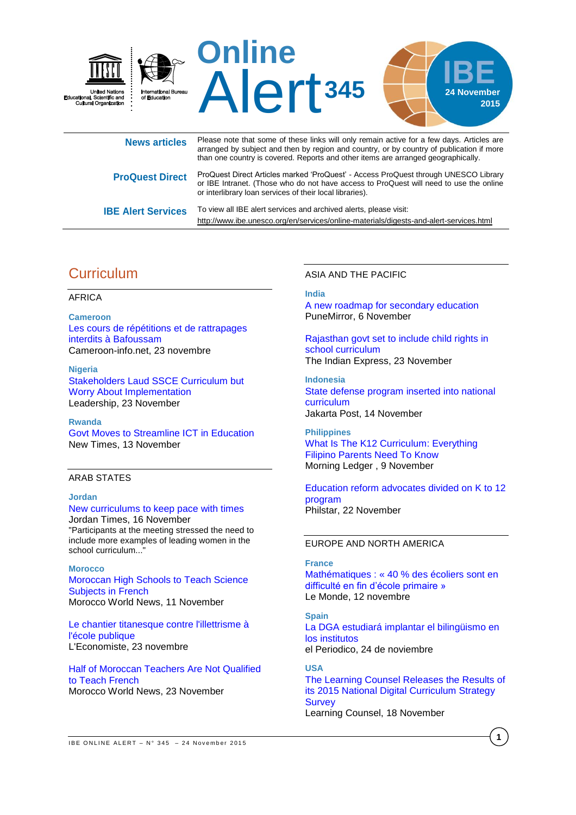

|                           | arranged by subject and then by region and country, or by country of publication if more<br>than one country is covered. Reports and other items are arranged geographically.                                                             |
|---------------------------|-------------------------------------------------------------------------------------------------------------------------------------------------------------------------------------------------------------------------------------------|
| <b>ProQuest Direct</b>    | ProQuest Direct Articles marked 'ProQuest' - Access ProQuest through UNESCO Library<br>or IBE Intranet. (Those who do not have access to ProQuest will need to use the online<br>or interlibrary loan services of their local libraries). |
| <b>IBE Alert Services</b> | To view all IBE alert services and archived alerts, please visit:<br>http://www.ibe.unesco.org/en/services/online-materials/digests-and-alert-services.html                                                                               |

# **Curriculum**

### AFRICA

**Cameroon** [Les cours de répétitions et de rattrapages](http://www.cameroon-info.net/stories/0,69197,@,cameroun-education-les-cours-de-repetitions-et-de-rattrapages-interdits-a-bafous.html)  [interdits à Bafoussam](http://www.cameroon-info.net/stories/0,69197,@,cameroun-education-les-cours-de-repetitions-et-de-rattrapages-interdits-a-bafous.html) Cameroon-info.net, 23 novembre

**Nigeria** [Stakeholders Laud SSCE Curriculum but](http://allafrica.com/stories/201511240036.html)  [Worry About Implementation](http://allafrica.com/stories/201511240036.html) Leadership, 23 November

**Rwanda** [Govt Moves to Streamline ICT in Education](http://allafrica.com/stories/201511130431.html) New Times, 13 November

#### ARAB STATES

school curriculum..."

#### **Jordan** [New curriculums to keep pace with times](http://www.jordantimes.com/news/local/business-leaders-call-enhancing-women%E2%80%99s-economic-participation)

Jordan Times, 16 November "Participants at the meeting stressed the need to include more examples of leading women in the

### **Morocco** [Moroccan High Schools to Teach Science](http://www.moroccoworldnews.com/2015/11/172324/moroccan-high-schools-to-teach-science-subjects-in-french/)  [Subjects in French](http://www.moroccoworldnews.com/2015/11/172324/moroccan-high-schools-to-teach-science-subjects-in-french/) Morocco World News, 11 November

[Le chantier titanesque contre l'illettrisme à](http://www.leconomiste.com/article/980485-le-chantier-titanesque-contre-lillettrisme-lecole-publique)  [l'école publique](http://www.leconomiste.com/article/980485-le-chantier-titanesque-contre-lillettrisme-lecole-publique) L'Economiste, 23 novembre

[Half of Moroccan Teachers Are Not Qualified](http://www.moroccoworldnews.com/2015/11/173485/half-of-moroccan-teachers-are-not-qualified-to-teach-french/)  [to Teach French](http://www.moroccoworldnews.com/2015/11/173485/half-of-moroccan-teachers-are-not-qualified-to-teach-french/) Morocco World News, 23 November

#### ASIA AND THE PACIFIC

#### **India**

[A new roadmap for secondary education](http://www.punemirror.in/pune/civic/A-new-roadmap-for-secondary-education/articleshow/49679076.cms) PuneMirror, 6 November

[Rajasthan govt set to include child rights in](http://indianexpress.com/article/india/india-news-india/rajasthan-govt-set-to-include-child-rights-in-school-curriculum/)  [school curriculum](http://indianexpress.com/article/india/india-news-india/rajasthan-govt-set-to-include-child-rights-in-school-curriculum/) The Indian Express, 23 November

**Indonesia** [State defense program inserted into national](http://www.thejakartapost.com/news/2015/11/14/state-defense-program-inserted-national-curriculum.html)  [curriculum](http://www.thejakartapost.com/news/2015/11/14/state-defense-program-inserted-national-curriculum.html) Jakarta Post, 14 November

**Philippines** [What Is The K12 Curriculum: Everything](http://www.morningledger.com/parent-needs-to-know-about-the-k12-curriculum/1312372/)  [Filipino Parents Need To Know](http://www.morningledger.com/parent-needs-to-know-about-the-k12-curriculum/1312372/) Morning Ledger , 9 November

[Education reform advocates divided on K to 12](http://www.philstar.com/headlines/2015/11/22/1524562/education-reform-advocates-divided-k-12-program)  [program](http://www.philstar.com/headlines/2015/11/22/1524562/education-reform-advocates-divided-k-12-program) Philstar, 22 November

#### EUROPE AND NORTH AMERICA

### **France**

[Mathématiques : « 40 % des écoliers sont en](http://www.lemonde.fr/education/article/2015/11/12/mathematiques-40-des-ecoliers-sont-en-difficulte-en-fin-d-ecole-primaire_4808396_1473685.html)  [difficulté en fin d'école primaire »](http://www.lemonde.fr/education/article/2015/11/12/mathematiques-40-des-ecoliers-sont-en-difficulte-en-fin-d-ecole-primaire_4808396_1473685.html) Le Monde, 12 novembre

**Spain** [La DGA estudiará implantar el bilingüismo en](http://www.elperiodicodearagon.com/noticias/la-cronica-de-ejea-y-sus-pueblos/dga-estudiara-implantar-bilinguismo-institutos_1069698.html)  [los institutos](http://www.elperiodicodearagon.com/noticias/la-cronica-de-ejea-y-sus-pueblos/dga-estudiara-implantar-bilinguismo-institutos_1069698.html) el Periodico, 24 de noviembre

**USA** [The Learning Counsel Releases the Results of](http://www.prnewswire.com/news-releases/the-learning-counsel-releases-the-results-of-its-2015-national-digital-curriculum-strategy-survey-300180633.html)  [its 2015 National Digital Curriculum Strategy](http://www.prnewswire.com/news-releases/the-learning-counsel-releases-the-results-of-its-2015-national-digital-curriculum-strategy-survey-300180633.html)  **[Survey](http://www.prnewswire.com/news-releases/the-learning-counsel-releases-the-results-of-its-2015-national-digital-curriculum-strategy-survey-300180633.html)** Learning Counsel, 18 November

**1**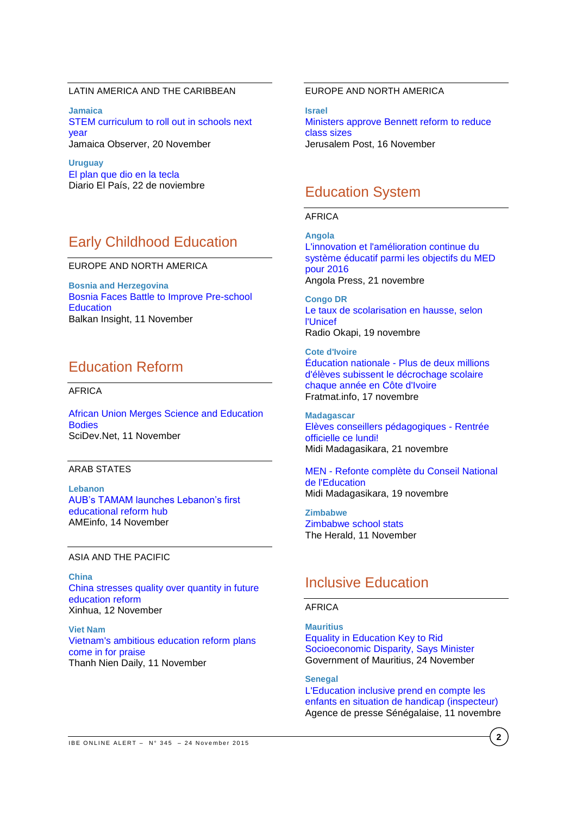### LATIN AMERICA AND THE CARIBBEAN

**Jamaica** [STEM curriculum to roll out in schools next](http://www.jamaicaobserver.com/news/STEM-curriculum-to-roll-out-in-schools-next-year_19239417)  [year](http://www.jamaicaobserver.com/news/STEM-curriculum-to-roll-out-in-schools-next-year_19239417) Jamaica Observer, 20 November

**Uruguay** [El plan que dio en la tecla](http://www.elpais.com.uy/que-pasa/plan-que-dio-tecla.html) Diario El País, 22 de noviembre

## Early Childhood Education

#### EUROPE AND NORTH AMERICA

**Bosnia and Herzegovina** [Bosnia Faces Battle to Improve Pre-school](http://www.balkaninsight.com/en/article/bosnia-faces-battle-to-improve-pre-school-education-11-10-2015)  **[Education](http://www.balkaninsight.com/en/article/bosnia-faces-battle-to-improve-pre-school-education-11-10-2015)** Balkan Insight, 11 November

## Education Reform

#### AFRICA

[African Union Merges Science and Education](http://www.scidev.net/global/governance/news/african-union-merges-science-education.html)  [Bodies](http://www.scidev.net/global/governance/news/african-union-merges-science-education.html) SciDev.Net, 11 November

### ARAB STATES

**Lebanon** [AUB's TAMAM launches Lebanon's first](http://ameinfo.com/finance-and-economy/economy/education/aubs-tamam-launches-lebanons-first-educational-reform-hub/)  [educational reform hub](http://ameinfo.com/finance-and-economy/economy/education/aubs-tamam-launches-lebanons-first-educational-reform-hub/) AMEinfo, 14 November

#### ASIA AND THE PACIFIC

**China** [China stresses quality over quantity in future](http://news.xinhuanet.com/english/2015-11/12/c_134808122.htm)  [education reform](http://news.xinhuanet.com/english/2015-11/12/c_134808122.htm) Xinhua, 12 November

**Viet Nam** [Vietnam's ambitious education reform plans](http://www.thanhniennews.com/education-youth/vietnams-ambitious-education-reform-plans-come-in-for-praise-53391.html)  [come in for praise](http://www.thanhniennews.com/education-youth/vietnams-ambitious-education-reform-plans-come-in-for-praise-53391.html) Thanh Nien Daily, 11 November

### EUROPE AND NORTH AMERICA

**Israel** [Ministers approve Bennett reform to reduce](http://www.jpost.com/Israel-News/Ministers-approve-Bennett-reform-to-reduce-class-sizes-433187)  [class sizes](http://www.jpost.com/Israel-News/Ministers-approve-Bennett-reform-to-reduce-class-sizes-433187) Jerusalem Post, 16 November

## Education System

#### AFRICA

**Angola** [L'innovation et l'amélioration continue du](http://fr.allafrica.com/stories/201511210459.html)  [système éducatif parmi les objectifs du MED](http://fr.allafrica.com/stories/201511210459.html)  [pour 2016](http://fr.allafrica.com/stories/201511210459.html) Angola Press, 21 novembre

**Congo DR** [Le taux de scolarisation en hausse, selon](http://fr.allafrica.com/stories/201511191712.html)  [l'Unicef](http://fr.allafrica.com/stories/201511191712.html) Radio Okapi, 19 novembre

**Cote d'Ivoire** Éducation nationale - [Plus de deux millions](http://fr.allafrica.com/stories/201511180605.html)  [d'élèves subissent le décrochage scolaire](http://fr.allafrica.com/stories/201511180605.html)  [chaque année en Côte d'Ivoire](http://fr.allafrica.com/stories/201511180605.html) Fratmat.info, 17 novembre

**Madagascar** [Elèves conseillers pédagogiques -](http://fr.allafrica.com/stories/201511210364.html) Rentrée [officielle ce lundi!](http://fr.allafrica.com/stories/201511210364.html) Midi Madagasikara, 21 novembre

MEN - [Refonte complète du Conseil National](http://fr.allafrica.com/stories/201511191181.html)  [de l'Education](http://fr.allafrica.com/stories/201511191181.html) Midi Madagasikara, 19 novembre

**Zimbabwe** [Zimbabwe school stats](http://allafrica.com/stories/201511110442.html) The Herald, 11 November

# Inclusive Education

#### AFRICA

**Mauritius** [Equality in Education Key](http://allafrica.com/stories/201511240220.html) to Rid [Socioeconomic Disparity, Says Minister](http://allafrica.com/stories/201511240220.html) Government of Mauritius, 24 November

**Senegal**

[L'Education inclusive prend en compte les](http://fr.allafrica.com/stories/201511111790.html)  [enfants en situation de handicap \(inspecteur\)](http://fr.allafrica.com/stories/201511111790.html) Agence de presse Sénégalaise, 11 novembre

**2**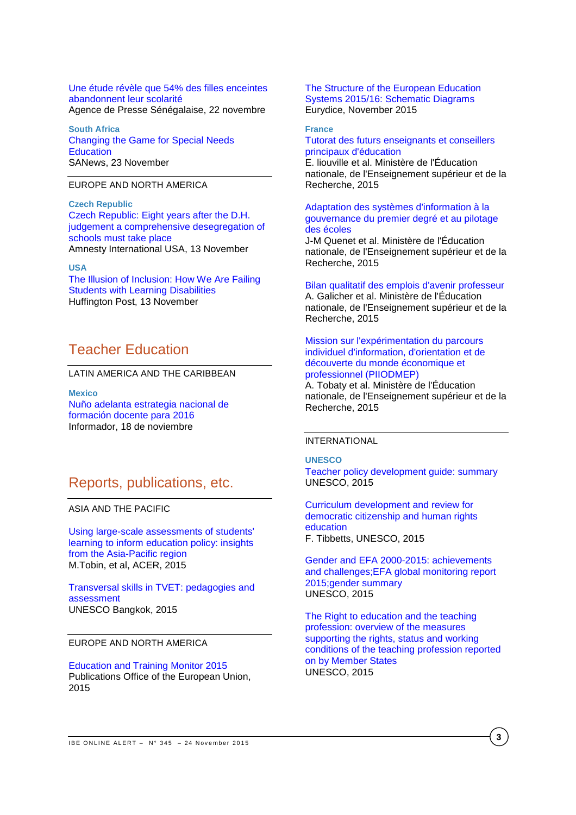### [Une étude révèle que 54% des filles enceintes](http://fr.allafrica.com/stories/201511220270.html)  [abandonnent leur scolarité](http://fr.allafrica.com/stories/201511220270.html)

Agence de Presse Sénégalaise, 22 novembre

**South Africa** [Changing the Game for Special Needs](http://allafrica.com/stories/201511232553.html)  **[Education](http://allafrica.com/stories/201511232553.html)** SANews, 23 November

#### EUROPE AND NORTH AMERICA

#### **Czech Republic**

[Czech Republic: Eight years after the D.H.](http://www.amnestyusa.org/news/press-releases/czech-republic-eight-years-after-the-dh-judgement-a-comprehensive-desegregation-of-schools-must-take)  [judgement a comprehensive desegregation of](http://www.amnestyusa.org/news/press-releases/czech-republic-eight-years-after-the-dh-judgement-a-comprehensive-desegregation-of-schools-must-take)  [schools must take place](http://www.amnestyusa.org/news/press-releases/czech-republic-eight-years-after-the-dh-judgement-a-comprehensive-desegregation-of-schools-must-take) Amnesty International USA, 13 November

#### **USA**

[The Illusion of Inclusion: How We Are Failing](http://www.huffingtonpost.com/jessica-r-toste/the-illusion-of-inclusion_1_b_8530372.html)  [Students with Learning Disabilities](http://www.huffingtonpost.com/jessica-r-toste/the-illusion-of-inclusion_1_b_8530372.html) Huffington Post, 13 November

# Teacher Education

#### LATIN AMERICA AND THE CARIBBEAN

**Mexico** [Nuño adelanta estrategia nacional de](http://www.informador.com.mx/mexico/2015/627206/6/nuno-adelanta-estrategia-nacional-de-formacion-docente-para-2016.htm)  [formación docente para 2016](http://www.informador.com.mx/mexico/2015/627206/6/nuno-adelanta-estrategia-nacional-de-formacion-docente-para-2016.htm) Informador, 18 de noviembre

## Reports, publications, etc.

### ASIA AND THE PACIFIC

[Using large-scale assessments of students'](http://unesdoc.unesco.org/images/0023/002354/235469e.pdf)  [learning to inform education policy: insights](http://unesdoc.unesco.org/images/0023/002354/235469e.pdf)  [from the Asia-Pacific region](http://unesdoc.unesco.org/images/0023/002354/235469e.pdf) M.Tobin, et al, ACER, 2015

[Transversal skills in TVET: pedagogies and](http://unesdoc.unesco.org/images/0023/002354/235487e.pdf)  [assessment](http://unesdoc.unesco.org/images/0023/002354/235487e.pdf) UNESCO Bangkok, 2015

### EUROPE AND NORTH AMERICA

[Education and Training Monitor 2015](http://ec.europa.eu/education/library/publications/monitor15_en.pdf) Publications Office of the European Union, 2015

#### [The Structure of the European Education](https://webgate.ec.europa.eu/fpfis/mwikis/eurydice/index.php/Publications:The_Structure_of_the_European_Education_Systems_2015/16:_Schematic_Diagrams)  [Systems 2015/16: Schematic Diagrams](https://webgate.ec.europa.eu/fpfis/mwikis/eurydice/index.php/Publications:The_Structure_of_the_European_Education_Systems_2015/16:_Schematic_Diagrams) Eurydice, November 2015

#### **France**

#### [Tutorat des futurs enseignants et conseillers](http://www.ladocumentationfrancaise.fr/var/storage/rapports-publics/154000749.pdf)  [principaux d'éducation](http://www.ladocumentationfrancaise.fr/var/storage/rapports-publics/154000749.pdf)

E. liouville et al. Ministère de l'Éducation nationale, de l'Enseignement supérieur et de la Recherche, 2015

### [Adaptation des systèmes d'information à la](http://www.ladocumentationfrancaise.fr/var/storage/rapports-publics/154000752.pdf)  [gouvernance du premier degré et au pilotage](http://www.ladocumentationfrancaise.fr/var/storage/rapports-publics/154000752.pdf)  [des écoles](http://www.ladocumentationfrancaise.fr/var/storage/rapports-publics/154000752.pdf)

J-M Quenet et al. Ministère de l'Éducation nationale, de l'Enseignement supérieur et de la Recherche, 2015

#### [Bilan qualitatif des emplois d'avenir professeur](http://www.ladocumentationfrancaise.fr/var/storage/rapports-publics/154000751.pdf)

A. Galicher et al. Ministère de l'Éducation nationale, de l'Enseignement supérieur et de la Recherche, 2015

#### [Mission sur l'expérimentation du parcours](http://www.ladocumentationfrancaise.fr/var/storage/rapports-publics/154000750.pdf)  [individuel d'information, d'orientation et de](http://www.ladocumentationfrancaise.fr/var/storage/rapports-publics/154000750.pdf)  [découverte du monde économique et](http://www.ladocumentationfrancaise.fr/var/storage/rapports-publics/154000750.pdf)  [professionnel \(PIIODMEP\)](http://www.ladocumentationfrancaise.fr/var/storage/rapports-publics/154000750.pdf)

A. Tobaty et al. Ministère de l'Éducation nationale, de l'Enseignement supérieur et de la Recherche, 2015

### INTERNATIONAL

### **UNESCO**

[Teacher policy development guide: summary](http://unesdoc.unesco.org/images/0023/002352/235272e.pdf) UNESCO, 2015

[Curriculum development and review for](http://unesdoc.unesco.org/images/0023/002343/234386e.pdf)  [democratic citizenship and human rights](http://unesdoc.unesco.org/images/0023/002343/234386e.pdf)  [education](http://unesdoc.unesco.org/images/0023/002343/234386e.pdf)

F. Tibbetts, UNESCO, 2015

Gender [and EFA 2000-2015: achievements](http://unesdoc.unesco.org/images/0023/002348/234809e.pdf)  [and challenges;EFA global monitoring report](http://unesdoc.unesco.org/images/0023/002348/234809e.pdf)  [2015;gender summary](http://unesdoc.unesco.org/images/0023/002348/234809e.pdf) UNESCO, 2015

[The Right to education and the teaching](http://unesdoc.unesco.org/images/0023/002348/234820e.pdf)  [profession: overview of the measures](http://unesdoc.unesco.org/images/0023/002348/234820e.pdf)  [supporting the rights, status and working](http://unesdoc.unesco.org/images/0023/002348/234820e.pdf)  [conditions of the teaching profession reported](http://unesdoc.unesco.org/images/0023/002348/234820e.pdf)  [on by Member States](http://unesdoc.unesco.org/images/0023/002348/234820e.pdf) UNESCO, 2015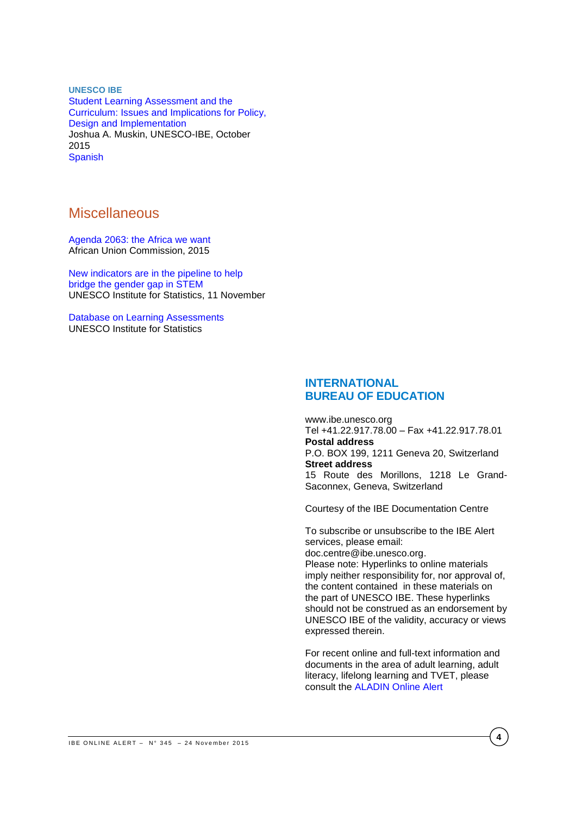**UNESCO IBE** [Student Learning Assessment and the](http://www.ibe.unesco.org/inprogress-reflections/IPR1-Muskin-AssessmentCurriculum_eng.pdf)  [Curriculum: Issues and Implications for Policy,](http://www.ibe.unesco.org/inprogress-reflections/IPR1-Muskin-AssessmentCurriculum_eng.pdf)  [Design and Implementation](http://www.ibe.unesco.org/inprogress-reflections/IPR1-Muskin-AssessmentCurriculum_eng.pdf) Joshua A. Muskin, UNESCO-IBE, October 2015 **[Spanish](http://www.ibe.unesco.org/inprogress-reflections/IPR1-Muskin-AssessmentCurriculum_spa.pdf)** 

## **Miscellaneous**

[Agenda 2063: the Africa we want](http://www.un.org/en/africa/osaa/pdf/au/agenda2063.pdf) African Union Commission, 2015

[New indicators are in the pipeline to help](http://www.uis.unesco.org/ScienceTechnology/Pages/saga-launch.aspx)  [bridge the gender gap in STEM](http://www.uis.unesco.org/ScienceTechnology/Pages/saga-launch.aspx) UNESCO Institute for Statistics, 11 November

[Database on Learning Assessments](http://www.uis.unesco.org/Education/Pages/learning-assessments-database.aspx) UNESCO Institute for Statistics

## **INTERNATIONAL BUREAU OF EDUCATION**

[www.ibe.unesco.org](http://www.ibe.unesco.org/) Tel +41.22.917.78.00 – Fax +41.22.917.78.01 **Postal address** P.O. BOX 199, 1211 Geneva 20, Switzerland **Street address** 15 Route des Morillons, 1218 Le Grand-Saconnex, Geneva, Switzerland

Courtesy of the IBE Documentation Centre

To subscribe or unsubscribe to the IBE Alert services, please email: [doc.centre@ibe.unesco.org.](mailto:doc.centre@ibe.unesco.org) Please note: Hyperlinks to online materials imply neither responsibility for, nor approval of, the content contained in these materials on the part of UNESCO IBE. These hyperlinks should not be construed as an endorsement by UNESCO IBE of the validity, accuracy or views expressed therein.

For recent online and full-text information and documents in the area of adult learning, adult literacy, lifelong learning and TVET, please consult the [ALADIN Online Alert](http://www.unesco.org/education/aladin/pdfaladin/Aladin_Alert_7.pdf)

**4**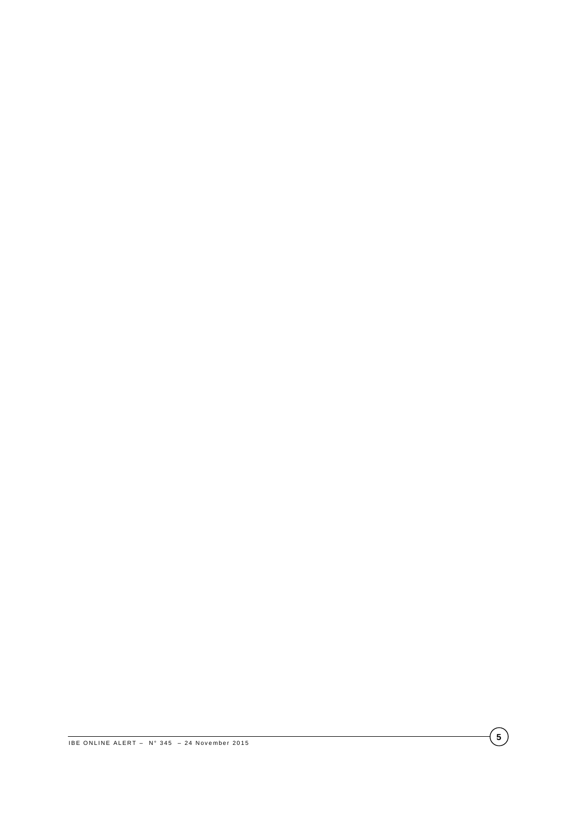$\bigodot$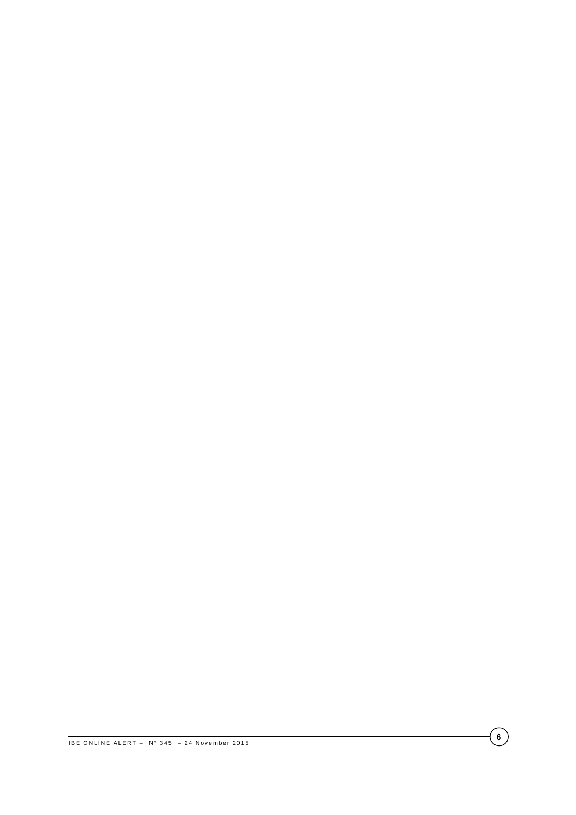$\bigodot$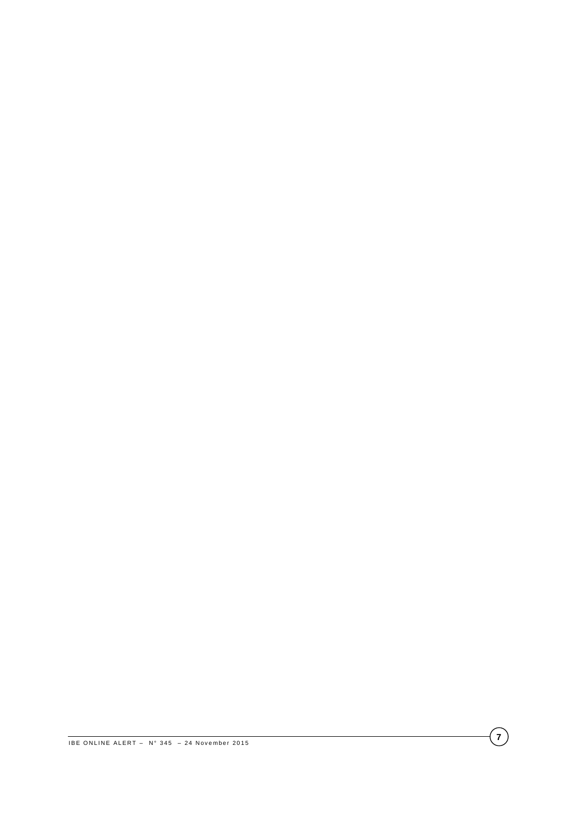$\bigcirc$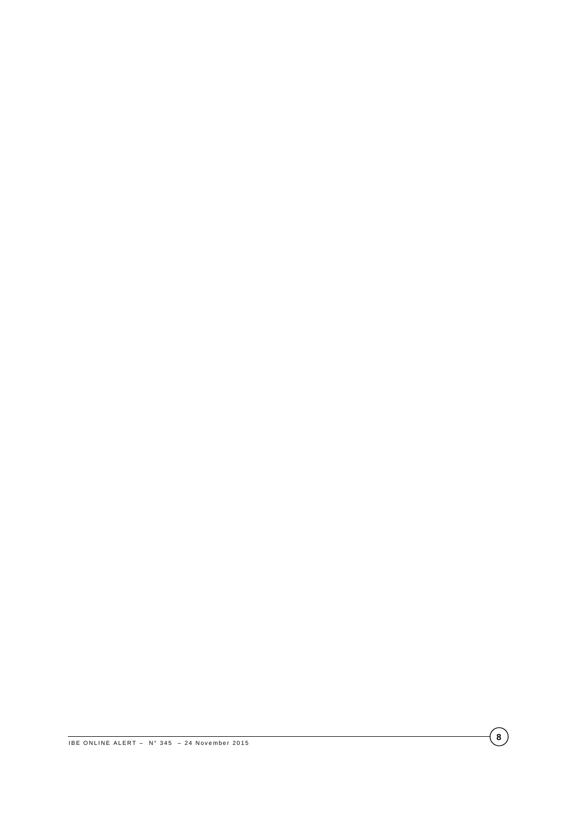$\odot$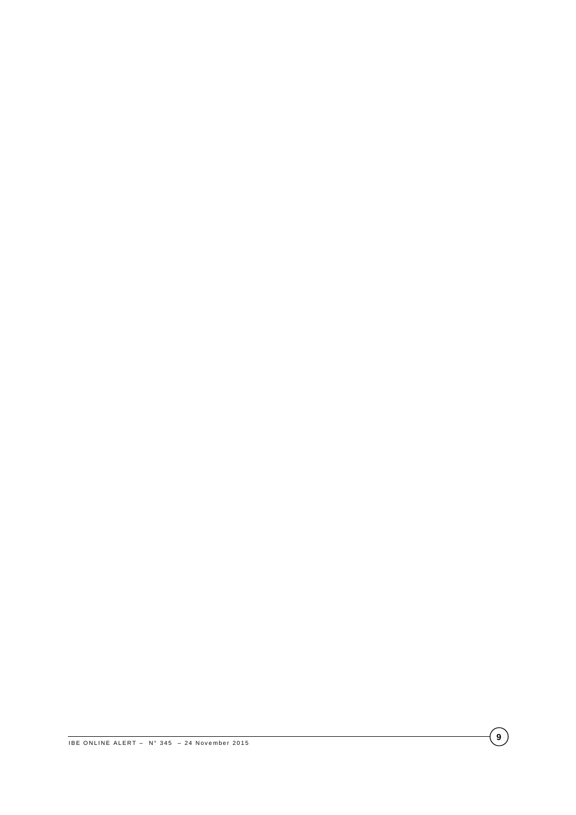$\bigcirc$